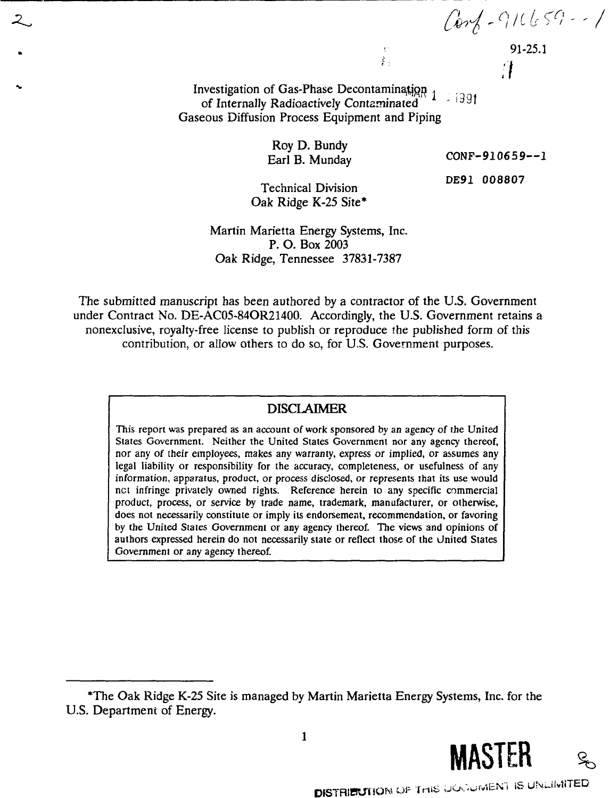Conf - 910659 -- 1 91-25.1

Investigation of Gas-Phase Decontamina^p^ *\** of Internally Radioactively Contaminated Gaseous Diffusion Process Equipment and Piping 1391

 $\frac{1}{\mu}$  .

Roy D. Bundy Earl B. Munday

CONF-910659--1

**•;\**

Technical Division Oak Ridge K-25 Site\* DE91 008807

Martin Marietta Energy Systems, Inc. P. O. Box 2003 Oak Ridge, Tennessee 37831-7387

The submitted manuscript has been authored by a contractor of the U.S. Government under Contract No. DE-AC05-84OR21400. Accordingly, the U.S. Government retains a nonexclusive, royalty-free license to publish or reproduce the published form of this contribution, or allow others to do so, for U.S. Government purposes.

### DISCLAIMER

This report was prepared as an account of work sponsored by an agency of the United States Government. Neither the United States Government nor any agency thereof, nor any of their employees, makes any warranty, express or implied, or assumes any legal liability or responsibility for the accuracy, completeness, or usefulness of any information, apparatus, product, or process disclosed, or represents that its use would net infringe privately owned rights. Reference herein to any specific commercial product, process, or service by trade name, trademark, manufacturer, or otherwise, does not necessarily constitute or imply its endorsement, recommendation, or favoring by the United States Government or any agency thereof. The views and opinions of authors expressed herein do not necessarily state or reflect those of the United States Government or any agency thereof.

<sup>\*</sup>The Oak Ridge K-25 Site is managed by Martin Marietta Energy Systems, Inc. for the U.S. Department of Energy.

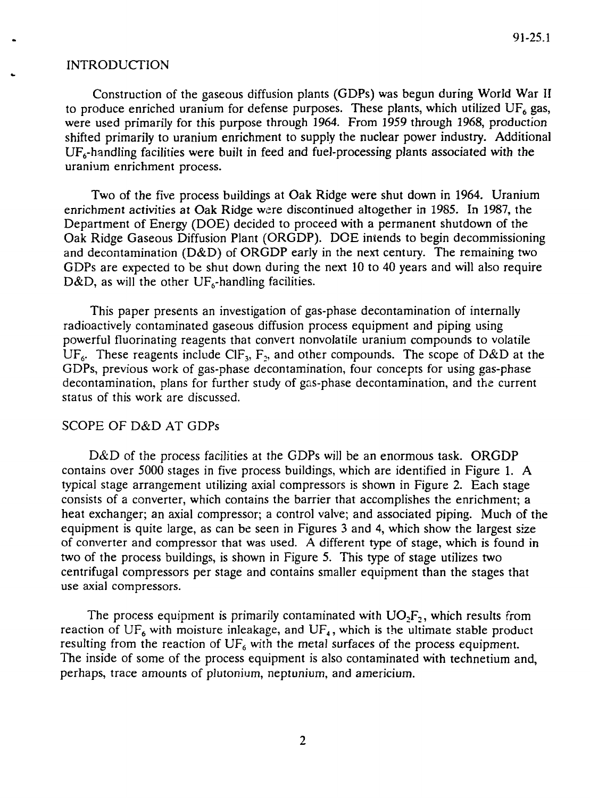#### INTRODUCTION

Construction of the gaseous diffusion plants (GDPs) was begun during World War II to produce enriched uranium for defense purposes. These plants, which utilized  $UF<sub>6</sub>$  gas, were used primarily for this purpose through 1964. From 1959 through 1968, production shifted primarily to uranium enrichment to supply the nuclear power industry. Additional  $UF_6$ -handling facilities were built in feed and fuel-processing plants associated with the uranium enrichment process.

Two of the five process buildings at Oak Ridge were shut down in 1964. Uranium enrichment activities at Oak Ridge were discontinued altogether in 1985. In 1987, the Department of Energy (DOE) decided to proceed with a permanent shutdown of the Oak Ridge Gaseous Diffusion Plant (ORGDP). DOE intends to begin decommissioning and decontamination (D&D) of ORGDP early in the next century. The remaining two GDPs are expected to be shut down during the next 10 to 40 years and will also require D&D, as will the other  $UF<sub>6</sub>$ -handling facilities.

This paper presents an investigation of gas-phase decontamination of internally radioactively contaminated gaseous diffusion process equipment and piping using powerful fluorinating reagents that convert nonvolatile uranium compounds to volatile UF<sub>6</sub>. These reagents include CIF<sub>3</sub>, F<sub>2</sub>, and other compounds. The scope of D&D at the GDPs, previous work of gas-phase decontamination, four concepts for using gas-phase decontamination, plans for further study of gas-phase decontamination, and the current status of this work are discussed.

#### SCOPE OF D&D AT GDPs

D&D of the process facilities at the GDPs will be an enormous task. ORGDP contains over 5000 stages in five process buildings, which are identified in Figure 1. A typical stage arrangement utilizing axial compressors is shown in Figure 2. Each stage consists of a converter, which contains the barrier that accomplishes the enrichment; a heat exchanger; an axial compressor; a control valve; and associated piping. Much of the equipment is quite large, as can be seen in Figures 3 and 4, which show the largest size of converter and compressor that was used. A different type of stage, which is found in two of the process buildings, is shown in Figure 5. This type of stage utilizes two centrifugal compressors per stage and contains smaller equipment than the stages that use axial compressors.

The process equipment is primarily contaminated with  $UO_2F_2$ , which results from reaction of  $UF_6$  with moisture inleakage, and  $UF_4$ , which is the ultimate stable product resulting from the reaction of  $UF_6$  with the metal surfaces of the process equipment. The inside of some of the process equipment is also contaminated with technetium and, perhaps, trace amounts of plutonium, neptunium, and americium.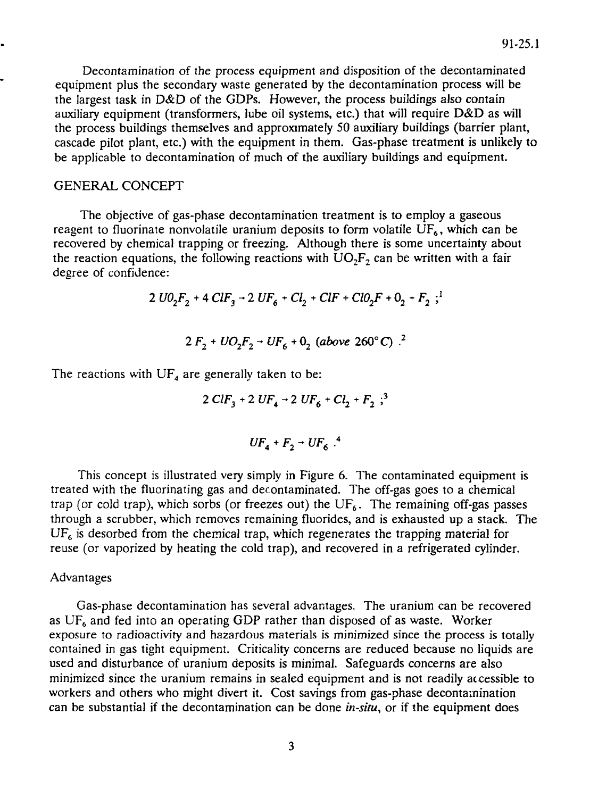Decontamination of the process equipment and disposition of the decontaminated equipment plus the secondary waste generated by the decontamination process will be the largest task in D&D of the GDPs. However, the process buildings also contain auxiliary equipment (transformers, lube oil systems, etc.) that will require  $D&D$  as will the process buildings themselves and approximately 50 auxiliary buildings (barrier plant, cascade pilot plant, etc.) with the equipment in them. Gas-phase treatment is unlikely to be applicable to decontamination of much of the auxiliary buildings and equipment.

#### GENERAL CONCEPT

The objective of gas-phase decontamination treatment is to employ a gaseous reagent to fluorinate nonvolatile uranium deposits to form volatile  $UF_6$ , which can be recovered by chemical trapping or freezing. Although there is some uncertainty about the reaction equations, the following reactions with  $UO<sub>2</sub>F<sub>2</sub>$  can be written with a fair degree of confidence:

$$
2 U0_2F_2 + 4 CIF_3 - 2 UF_6 + Cl_2 + ClF + ClO_2F + O_2 + F_2
$$
;

$$
2 F_2 + U O_2 F_2 - U F_6 + 0_2
$$
 (above 260<sup>°</sup>C)  $\cdot$ <sup>2</sup>

The reactions with  $UF_4$  are generally taken to be:

$$
2\,CIF_3 + 2\,UF_4 - 2\,UF_6 + CI_2 + F_2\,;
$$
<sup>3</sup>

$$
UF_4 + F_2 - UF_6
$$
<sup>4</sup>

This concept is illustrated very simply in Figure 6. The contaminated equipment is treated with the fluorinating gas and decontaminated. The off-gas goes to a chemical trap (or cold trap), which sorbs (or freezes out) the  $UF_6$ . The remaining off-gas passes through a scrubber, which removes remaining fluorides, and is exhausted up a stack. The  $UF<sub>6</sub>$  is desorbed from the chemical trap, which regenerates the trapping material for reuse (or vaporized by heating the cold trap), and recovered in a refrigerated cylinder.

### Advantages

Gas-phase decontamination has several advantages. The uranium can be recovered as  $UF<sub>6</sub>$  and fed into an operating GDP rather than disposed of as waste. Worker exposure to radioactivity and hazardous materials is minimized since the process is totally contained in gas tight equipment. Criticality concerns are reduced because no liquids are used and disturbance of uranium deposits is minimal. Safeguards concerns are also minimized since the uranium remains in sealed equipment and is not readily accessible to workers and others who might divert it. Cost savings from gas-phase decontamination can be substantial if the decontamination can be done *in-situ,* or if the equipment does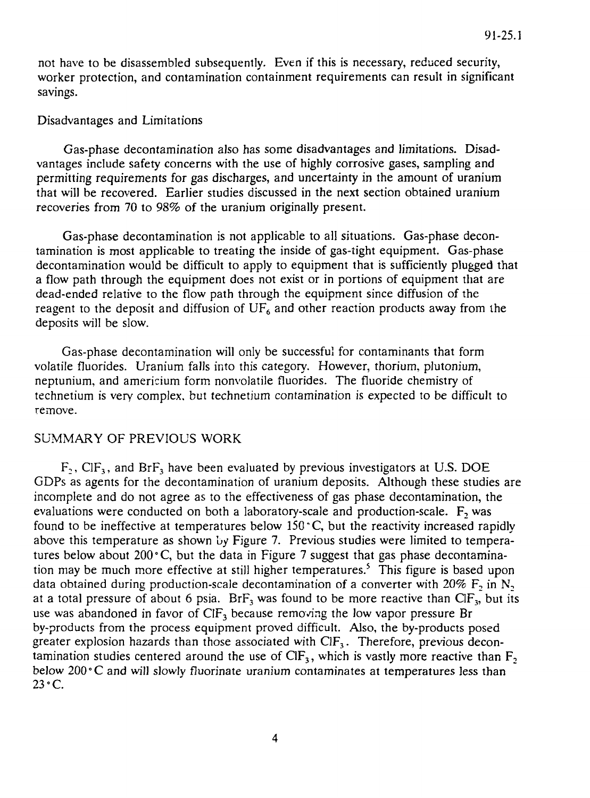not have to be disassembled subsequently. Even if this is necessary, reduced security, worker protection, and contamination containment requirements can result in significant savings.

#### Disadvantages and Limitations

Gas-phase decontamination also has some disadvantages and limitations. Disadvantages include safety concerns with the use of highly corrosive gases, sampling and permitting requirements for gas discharges, and uncertainty in the amount of uranium that will be recovered. Earlier studies discussed in the next section obtained uranium recoveries from 70 to 98% of the uranium originally present.

Gas-phase decontamination is not applicable to all situations. Gas-phase decontamination is most applicable to treating the inside of gas-tight equipment. Gas-phase decontamination would be difficult to apply to equipment that is sufficiently plugged that a flow path through the equipment does not exist or in portions of equipment that are dead-ended relative to the flow path through the equipment since diffusion of the reagent to the deposit and diffusion of  $UF<sub>6</sub>$  and other reaction products away from the deposits will be slow.

Gas-phase decontamination will only be successful for contaminants that form volatile fluorides. Uranium falls into this category. However, thorium, plutonium, neptunium, and americium form nonvolatile fluorides. The fluoride chemistry of technetium is very complex, but technetiurn contamination is expected to be difficult to remove.

### SUMMARY OF PREVIOUS WORK

 $F_2$ , Cl $F_3$ , and Br $F_3$  have been evaluated by previous investigators at U.S. DOE GDPs as agents for the decontamination of uranium deposits. Although these studies are incomplete and do not agree as to the effectiveness of gas phase decontamination, the evaluations were conducted on both a laboratory-scale and production-scale.  $F<sub>2</sub>$  was found to be ineffective at temperatures below  $150^{\circ}$ C, but the reactivity increased rapidly above this temperature as shown by Figure 7. Previous studies were limited to temperatures below about  $200 \degree C$ , but the data in Figure 7 suggest that gas phase decontamination may be much more effective at still higher temperatures.<sup>5</sup> This figure is based upon data obtained during production-scale decontamination of a converter with  $20\%$  F<sub>2</sub> in N<sub>2</sub> at a total pressure of about 6 psia. Br $F_3$  was found to be more reactive than CI $F_3$ , but its use was abandoned in favor of  $CIF_3$  because removing the low vapor pressure Br by-products from the process equipment proved difficult. Also, the by-products posed greater explosion hazards than those associated with  $CIF_3$ . Therefore, previous decontamination studies centered around the use of  $CIF_3$ , which is vastly more reactive than  $F_2$ below 200 °C and will slowly fluorinate uranium contaminates at temperatures less than  $23 \cdot C$ .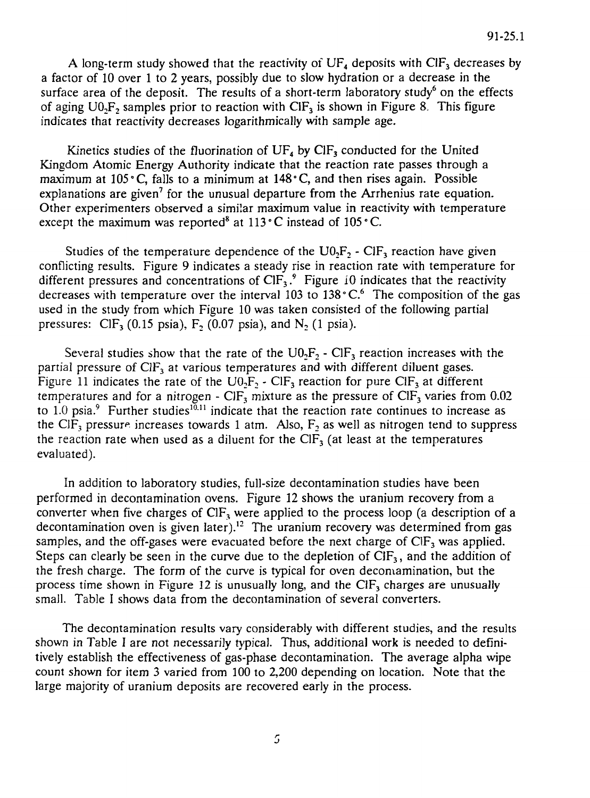A long-term study showed that the reactivity of  $UF_4$  deposits with  $ClF_3$  decreases by a factor of 10 over 1 to 2 years, possibly due to slow hydration or a decrease in the surface area of the deposit. The results of a short-term laboratory study<sup>6</sup> on the effects of aging  $U0_2F_2$  samples prior to reaction with CIF<sub>3</sub> is shown in Figure 8. This figure indicates that reactivity decreases logarithmically with sample age.

Kinetics studies of the fluorination of  $UF_4$  by  $ClF_3$  conducted for the United Kingdom Atomic Energy Authority indicate that the reaction rate passes through a maximum at  $105$  °C, falls to a minimum at  $148$  °C, and then rises again. Possible explanations are given<sup>7</sup> for the unusual departure from the Arrhenius rate equation. Other experimenters observed a similar maximum value in reactivity with temperature except the maximum was reported<sup>8</sup> at 113 °C instead of 105 °C.

Studies of the temperature dependence of the  $U0_2F_2$  - CIF<sub>3</sub> reaction have given conflicting results. Figure 9 indicates a steady rise in reaction rate with temperature for different pressures and concentrations of  $\text{CIF}_3$ .<sup>9</sup> Figure 10 indicates that the reactivity decreases with temperature over the interval 103 to 138 °C.<sup>6</sup> The composition of the gas used in the study from which Figure 10 was taken consisted of the following partial pressures: ClF<sub>3</sub> (0.15 psia), F<sub>2</sub> (0.07 psia), and N<sub>2</sub> (1 psia).

Several studies show that the rate of the  $U_0F_2$  - CIF<sub>3</sub> reaction increases with the partial pressure of  $CIF<sub>3</sub>$  at various temperatures and with different diluent gases. Figure 11 indicates the rate of the  $U0_2F_2$  - ClF<sub>3</sub> reaction for pure ClF<sub>3</sub> at different temperatures and for a nitrogen -  $CIF_3$  mixture as the pressure of  $CIF_3$  varies from 0.02 to 1.0 psia.<sup>9</sup> Further studies<sup>10.11</sup> indicate that the reaction rate continues to increase as the CIF<sub>3</sub> pressure increases towards 1 atm. Also,  $F_2$  as well as nitrogen tend to suppress the reaction rate when used as a diluent for the  $CIF<sub>3</sub>$  (at least at the temperatures evaluated).

In addition to laboratory studies, full-size decontamination studies have been performed in decontamination ovens. Figure 12 shows the uranium recovery from a converter when five charges of  $CIF_3$  were applied to the process loop (a description of a decontamination oven is given later).<sup>12</sup> The uranium recovery was determined from gas samples, and the off-gases were evacuated before the next charge of  $\text{ClF}_3$  was applied. Steps can clearly be seen in the curve due to the depletion of  $CIF_3$ , and the addition of the fresh charge. The form of the curve is typical for oven deconiamination, but the process time shown in Figure 12 is unusually long, and the  $CIF_3$  charges are unusually small. Table I shows data from the decontamination of several converters.

The decontamination results vary considerably with different studies, and the results shown in Table I are not necessarily typical. Thus, additional work is needed to definitively establish the effectiveness of gas-phase decontamination. The average alpha wipe count shown for item 3 varied from 100 to 2,200 depending on location. Note that the large majority of uranium deposits are recovered early in the process.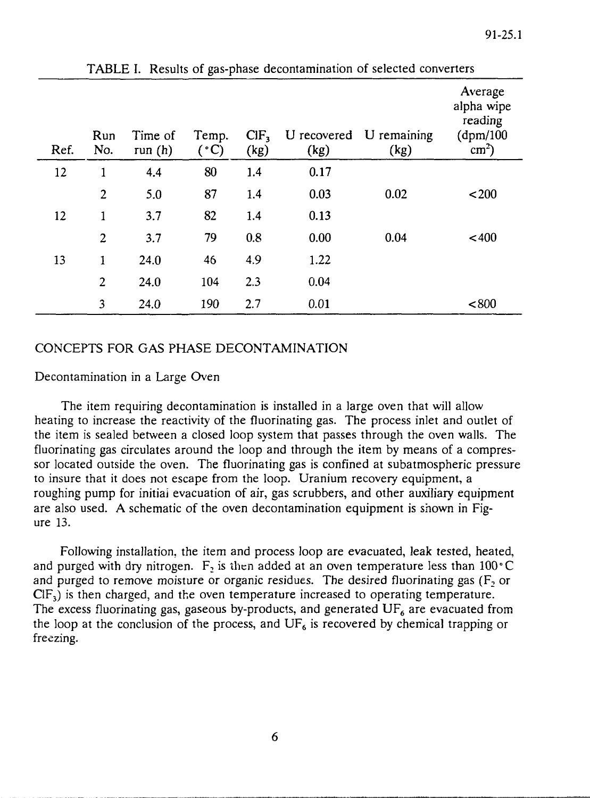| Ref. | Run<br>No.     | Time of<br>run $(h)$ | Temp.<br>$(^{\circ}C)$ | CIF <sub>3</sub><br>(kg) | U recovered U remaining<br>(kg) | (kg) | Average<br>alpha wipe<br>reading<br>(dpm/100<br>$\text{cm}^2$ ) |
|------|----------------|----------------------|------------------------|--------------------------|---------------------------------|------|-----------------------------------------------------------------|
| 12   | 1              | 4.4                  | 80                     | 1.4                      | 0.17                            |      |                                                                 |
|      | $\overline{2}$ | 5.0                  | 87                     | 1.4                      | 0.03                            | 0.02 | < 200                                                           |
| 12   | $\mathbf{1}$   | 3.7                  | 82                     | 1.4                      | 0.13                            |      |                                                                 |
|      | $\overline{2}$ | 3.7                  | 79                     | 0.8                      | 0.00                            | 0.04 | < 400                                                           |
| 13   | 1              | 24.0                 | 46                     | 4.9                      | 1.22                            |      |                                                                 |
|      | $\overline{2}$ | 24.0                 | 104                    | 2.3                      | 0.04                            |      |                                                                 |
|      | 3              | 24.0                 | 190                    | 2.7                      | 0.01                            |      | < 800                                                           |

TABLE I. Results of gas-phase decontamination of selected converters

### CONCEPTS FOR GAS PHASE DECONTAMINATION

#### Decontamination in a Large Oven

The item requiring decontamination is installed in a large oven that will allow heating to increase the reactivity of the fluorinating gas. The process inlet and outlet of the item is sealed between a closed loop system that passes through the oven walls. The fluorinating gas circulates around the loop and through the item by means of a compressor located outside the oven. The fluorinating gas is confined at subatmospheric pressure to insure that it does not escape from the loop. Uranium recovery equipment, a roughing pump for initial evacuation of air, gas scrubbers, and other auxiliary equipment are also used. A schematic of the oven decontamination equipment is shown in Figure 13.

Following installation, the item and process loop are evacuated, leak tested, heated, and purged with dry nitrogen.  $F_2$  is then added at an oven temperature less than  $100\degree C$ and purged to remove moisture or organic residues. The desired fluorinating gas (F, or  $CIF<sub>1</sub>$ ) is then charged, and the oven temperature increased to operating temperature. The excess fluorinating gas, gaseous by-products, and generated  $UF<sub>6</sub>$  are evacuated from the loop at the conclusion of the process, and  $UF_6$  is recovered by chemical trapping or freezing.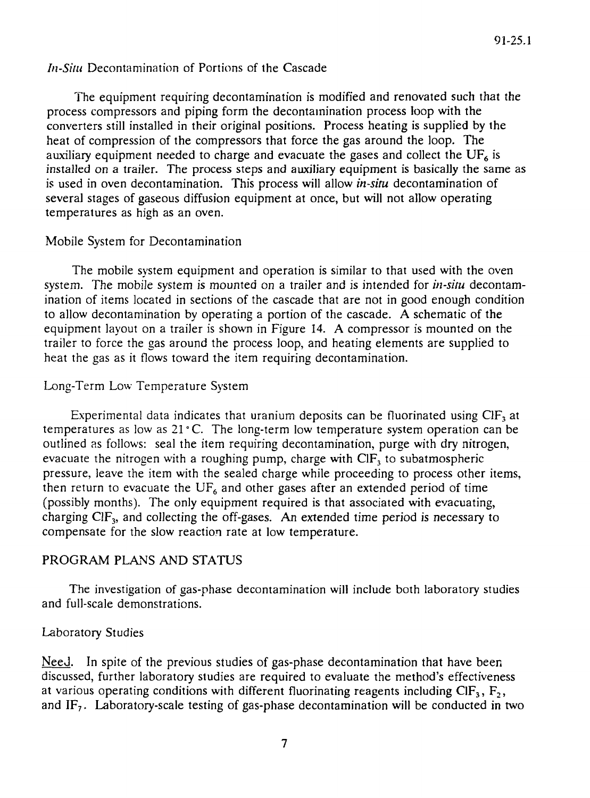### *In-Situ* Decontamination of Portions of the Cascade

The equipment requiring decontamination is modified and renovated such that the process compressors and piping form the decontamination process loop with the converters still installed in their original positions. Process heating is supplied by the heat of compression of the compressors that force the gas around the loop. The auxiliary equipment needed to charge and evacuate the gases and collect the  $UF<sub>6</sub>$  is installed on a trailer. The process steps and auxiliary equipment is basically the same as is used in oven decontamination. This process will allow *in-situ* decontamination of several stages of gaseous diffusion equipment at once, but will not allow operating temperatures as high as an oven.

# Mobile System for Decontamination

The mobile system equipment and operation is similar to that used with the oven system. The mobile system is mounted on a trailer and is intended for *in-situ* decontamination of items located in sections of the cascade that are not in good enough condition to allow decontamination by operating a portion of the cascade. A schematic of the equipment layout on a trailer is shown in Figure 14. A compressor is mounted on the trailer to force the gas around the process loop, and heating elements are supplied to heat the gas as it flows toward the item requiring decontamination.

# Long-Term Low Temperature System

Experimental data indicates that uranium deposits can be fluorinated using  $CIF_3$  at temperatures as low as 21 °C. The long-term low temperature system operation can be outlined as follows: seal the item requiring decontamination, purge with dry nitrogen, evacuate the nitrogen with a roughing pump, charge with  $CIF_3$  to subatmospheric pressure, leave the item with the sealed charge while proceeding to process other items, then return to evacuate the  $UF<sub>6</sub>$  and other gases after an extended period of time (possibly months). The only equipment required is that associated with evacuating, charging  $C/F<sub>3</sub>$ , and collecting the off-gases. An extended time period is necessary to compensate for the slow reaction rate at low temperature.

# PROGRAM PLANS AND STATUS

The investigation of gas-phase decontamination will include both laboratory studies and full-scale demonstrations.

# Laboratory Studies

Need. In spite of the previous studies of gas-phase decontamination that have been discussed, further laboratory studies are required to evaluate the method's effectiveness at various operating conditions with different fluorinating reagents including  $CIF_3$ ,  $F_2$ , and  $IF<sub>7</sub>$ . Laboratory-scale testing of gas-phase decontamination will be conducted in two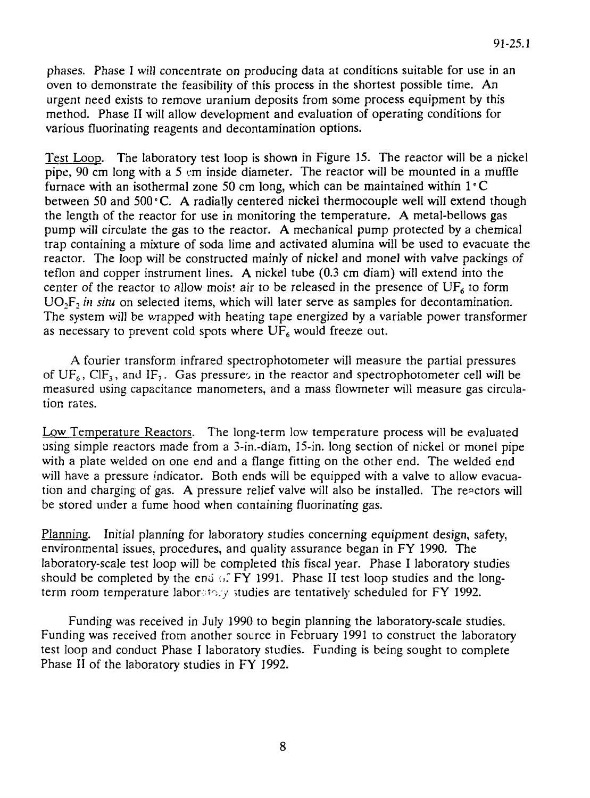phases. Phase I will concentrate on producing data at conditions suitable for use in an oven to demonstrate the feasibility of this process in the shortest possible time. An urgent need exists to remove uranium deposits from some process equipment by this method. Phase II will allow development and evaluation of operating conditions for various fluorinating reagents and decontamination options.

Test Loop. The laboratory test loop is shown in Figure 15. The reactor will be a nickel pipe, 90 cm long with a 5 cm inside diameter. The reactor will be mounted in a muffle furnace with an isothermal zone 50 cm long, which can be maintained within  $1 \degree C$ between 50 and  $500$  °C. A radially centered nickel thermocouple well will extend though the length of the reactor for use in monitoring the temperature. A metal-bellows gas pump will circulate the gas to the reactor. A mechanical pump protected by a chemical trap containing a mixture of soda lime and activated alumina will be used to evacuate the reactor. The loop will be constructed mainly of nickel and monel with valve packings of teflon and copper instrument lines. A nickel tube (0.3 cm diam) will extend into the center of the reactor to allow moist air to be released in the presence of  $UF_6$  to form UO<sub>2</sub>F<sub>2</sub> in situ on selected items, which will later serve as samples for decontamination. The system will be wrapped with heating tape energized by a variable power transformer as necessary to prevent cold spots where  $UF<sub>6</sub>$  would freeze out.

A fourier transform infrared spectrophotometer will measure the partial pressures of UF<sub>6</sub>, ClF<sub>3</sub>, and IF<sub>7</sub>. Gas pressure<sub>2</sub> in the reactor and spectrophotometer cell will be measured using capacitance manometers, and a mass flowmeter will measure gas circulation rates.

Low Temperature Reactors. The long-term low temperature process will be evaluated using simple reactors made from a 3-in.-diam, 15-in. long section of nickel or monel pipe with a plate welded on one end and a flange fitting on the other end. The welded end will have a pressure indicator. Both ends will be equipped with a valve to allow evacuation and charging of gas. A pressure relief valve will also be installed. The reactors will be stored under a fume hood when containing fluorinating gas.

Planning. Initial planning for laboratory studies concerning equipment design, safety, environmental issues, procedures, and quality assurance began in FY 1990. The laboratory-scale test loop will be completed this fiscal year. Phase I laboratory studies should be completed by the end *:>"* FY 1991. Phase II test loop studies and the longterm room temperature laborstory studies are tentatively scheduled for FY 1992.

Funding was received in July 1990 to begin planning the laboratory-scale studies. Funding was received from another source in February 1991 to construct the laboratory test loop and conduct Phase I laboratory studies. Funding is being sought to complete Phase II of the laboratory studies in FY 1992.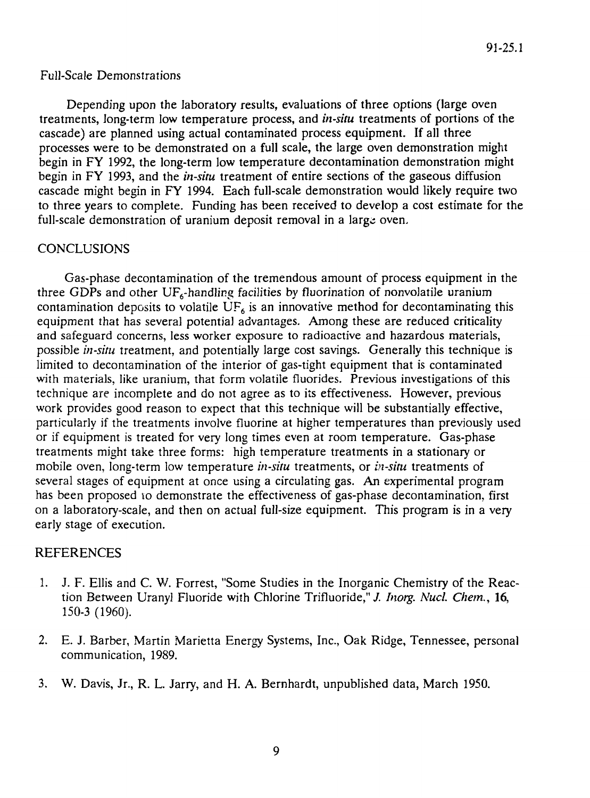### Full-Scale Demonstrations

Depending upon the laboratory results, evaluations of three options (large oven treatments, long-term low temperature process, and *in-situ* treatments of portions of the cascade) are planned using actual contaminated process equipment. If all three processes were to be demonstrated on a full scale, the large oven demonstration might begin in FY 1992, the long-term low temperature decontamination demonstration might begin in FY 1993, and the *in-situ* treatment of entire sections of the gaseous diffusion cascade might begin in FY 1994. Each full-scale demonstration would likely require two to three years to complete. Funding has been received to develop a cost estimate for the full-scale demonstration of uranium deposit removal in a large oven.

# **CONCLUSIONS**

Gas-phase decontamination of the tremendous amount of process equipment in the three GDPs and other  $UF_6$ -handling facilities by fluorination of nonvolatile uranium contamination deposits to volatile  $UF<sub>6</sub>$  is an innovative method for decontaminating this equipment that has several potential advantages. Among these are reduced criticaliry and safeguard concerns, less worker exposure to radioactive and hazardous materials, possible *in-situ* treatment, and potentially large cost savings. Generally this technique is limited to decontamination of the interior of gas-tight equipment that is contaminated with materials, like uranium, that form volatile fluorides. Previous investigations of this technique are incomplete and do not agree as to its effectiveness. However, previous work provides good reason to expect that this technique will be substantially effective, particularly if the treatments involve fluorine at higher temperatures than previously used or if equipment is treated for very long times even at room temperature. Gas-phase treatments might take three forms: high temperature treatments in a stationary or mobile oven, long-term low temperature *in-situ* treatments, or *in-situ* treatments of several stages of equipment at once using a circulating gas. An experimental program has been proposed to demonstrate the effectiveness of gas-phase decontamination, first on a laboratory-scale, and then on actual full-size equipment. This program is in a very early stage of execution.

### REFERENCES

- 1. J. F. Ellis and C. W. Forrest, "Some Studies in the Inorganic Chemistry of the Reaction Between Uranyl Fluoride with Chlorine Trifluoride," *J. Inorg. Nucl. Chem.,* 16, 150-3 (1960).
- 2. E. J. Barber, Martin Marietta Energy Systems, Inc., Oak Ridge, Tennessee, personal communication, 1989.
- 3. W. Davis, Jr., R. L. Jarry, and H. A. Bernhardt, unpublished data, March 1950.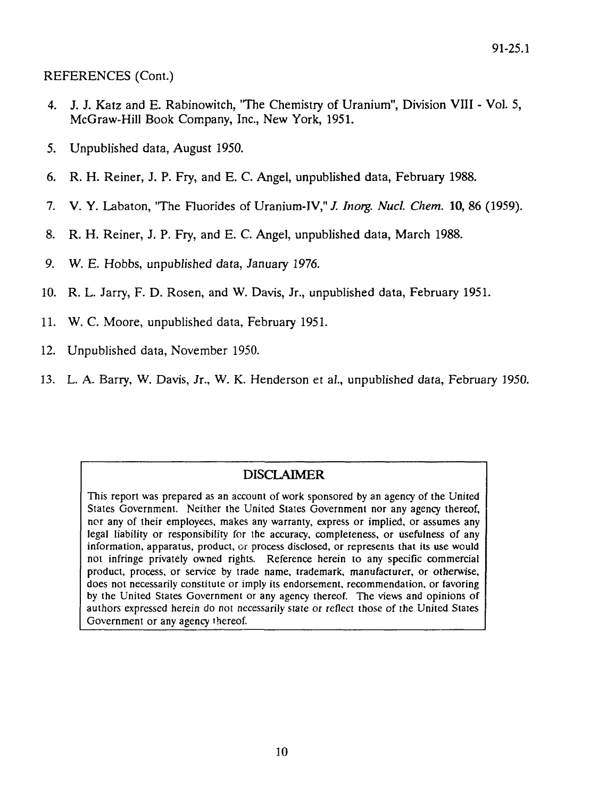# REFERENCES (Cont.)

- 4. J. J. Katz and E. Rabinowitch, 'The Chemistry of Uranium", Division VIII Vol. 5, McGraw-Hill Book Company, Inc., New York, 1951.
- 5. Unpublished data, August 1950.
- 6. R. H. Reiner, J. P. Fry, and E. C. Angel, unpublished data, February 1988.
- 7. V. Y. Labaton, "The Fluorides of Uranium-IV," *J. Inorg. Nucl. Chem.* 10, 86 (1959).
- 8. R. H. Reiner, J. P. Fry, and E. C. Angel, unpublished data, March 1988.
- 9. W. E. Hobbs, unpublished data, January 1976.
- 10. R. L. Jarry, F. D. Rosen, and W. Davis, Jr., unpublished data, February 1951.
- 11. W. C. Moore, unpublished data, February 1951.
- 12. Unpublished data, November 1950.
- 13. L. A. Barry, W. Davis, Jr., W. K. Henderson et al., unpublished data, February 1950.

### DISCLAIMER

This report was prepared as an account of work sponsored by an agency of the United States Government. Neither the United States Government nor any agency thereof, nor any of their employees, makes any warranty, express or implied, or assumes any legal liability or responsibility for the accuracy, completeness, or usefulness of any information, apparatus, product, or process disclosed, or represents that its use would not infringe privately owned rights. Reference herein to any specific commercial product, process, or service by trade name, trademark, manufacturer, or otherwise, does not necessarily constitute or imply its endorsement, recommendation, or favoring by the United States Government or any agency thereof. The views and opinions of authors expressed herein do not necessarily state or reflect those of the United States Government or any agency thereof.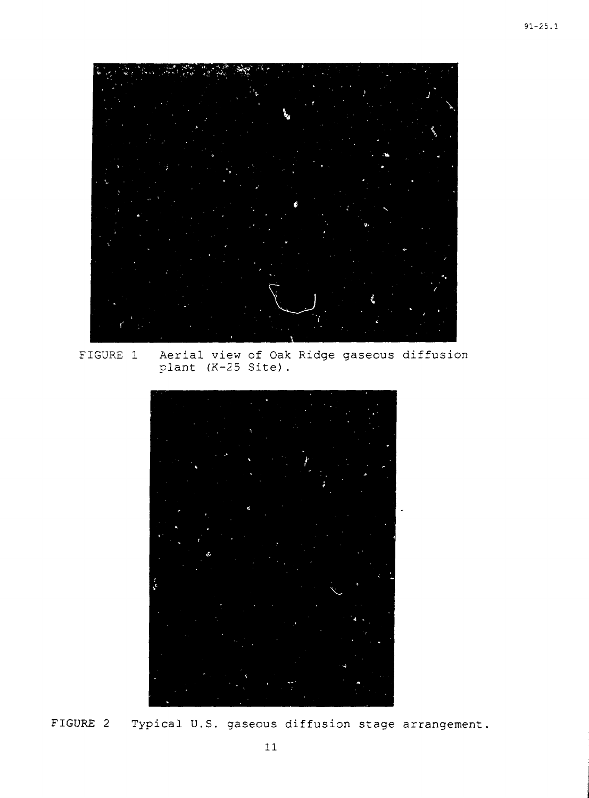

FIGURE 1 Aerial view of Oak Ridge gaseous diffusion clant (K-25 Site).



FIGURE 2 Typical U.S. gaseous diffusion stage arrangement.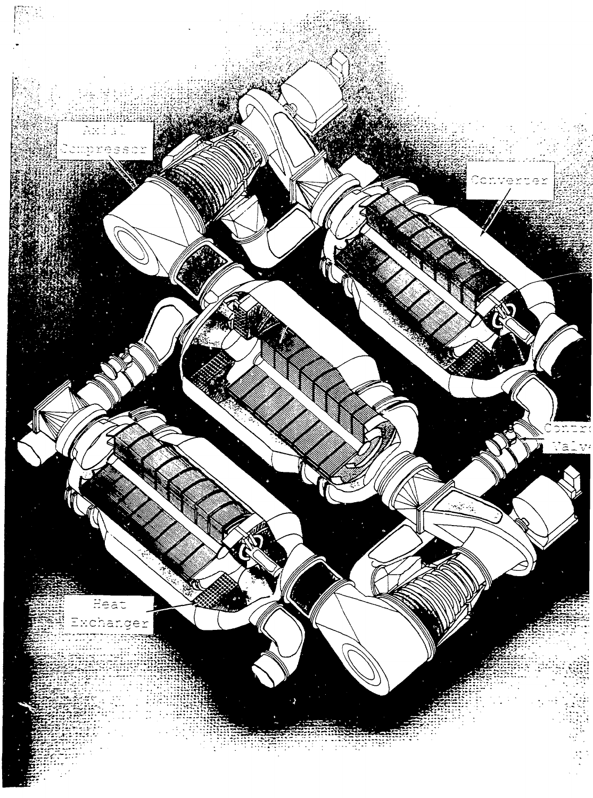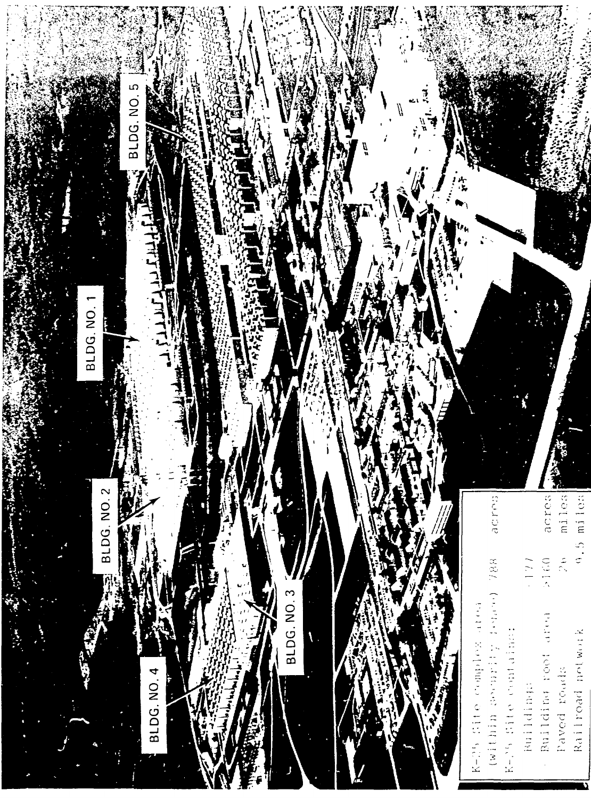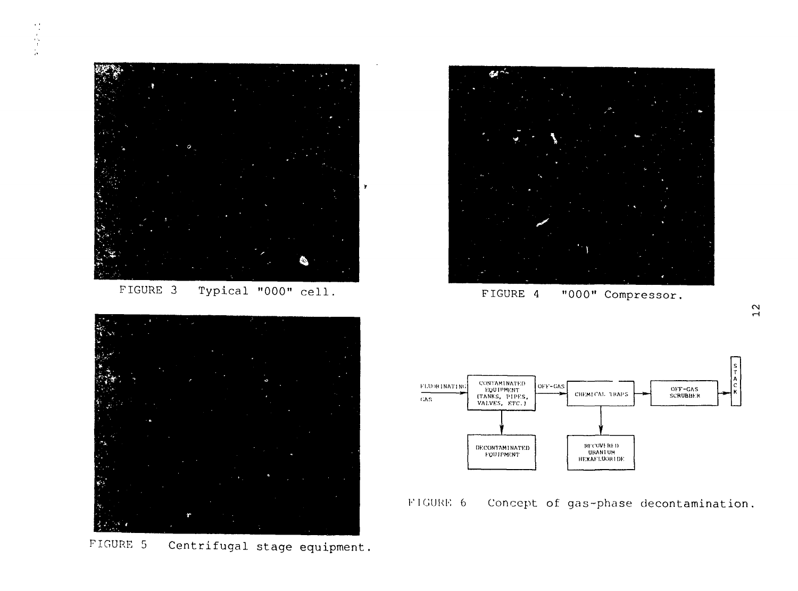



FIGURE 4 "000" Compressor.

 $\frac{2}{1}$ 





FIGURE 5 Centrifugal stage equipment.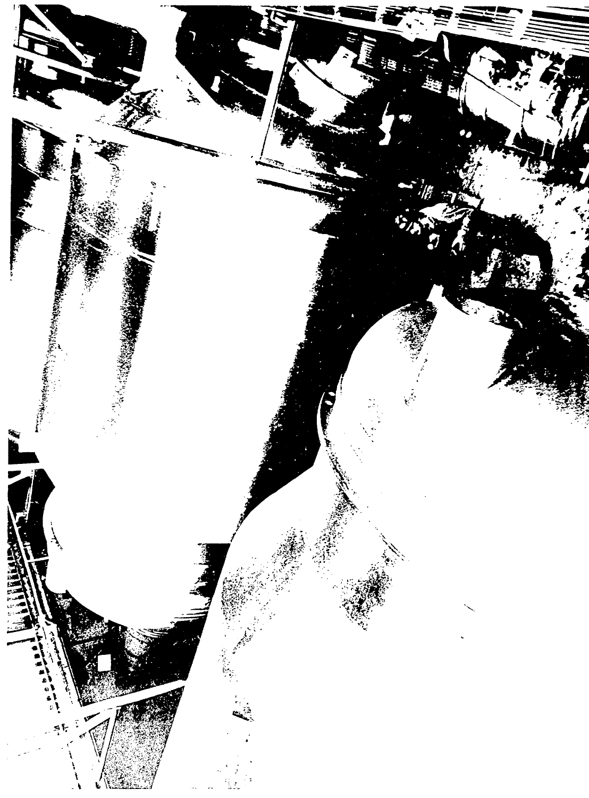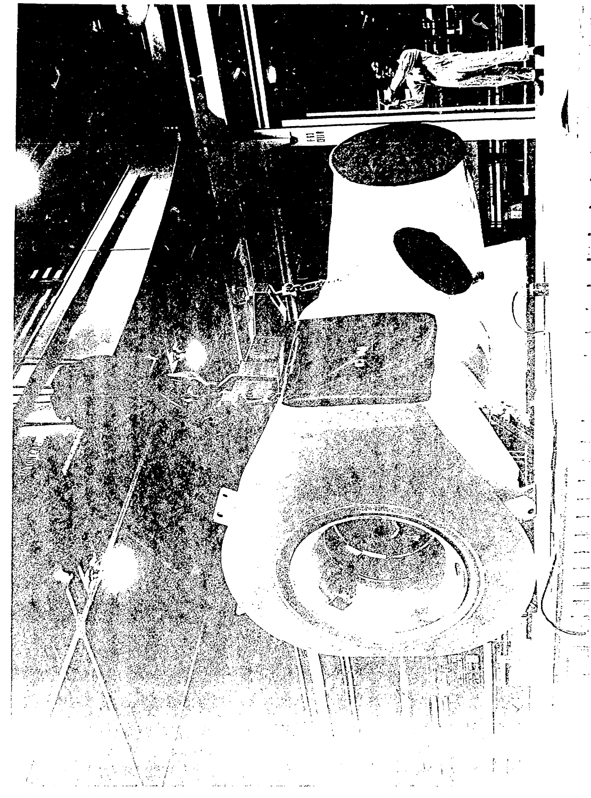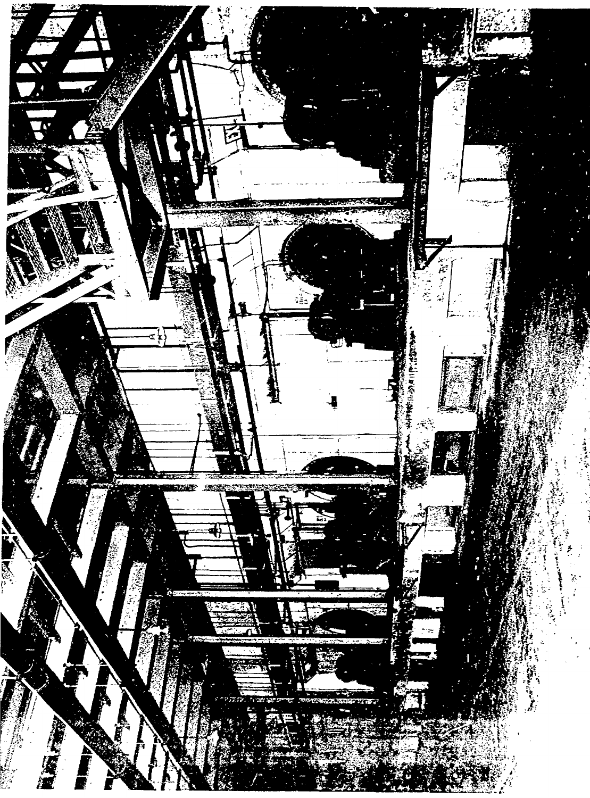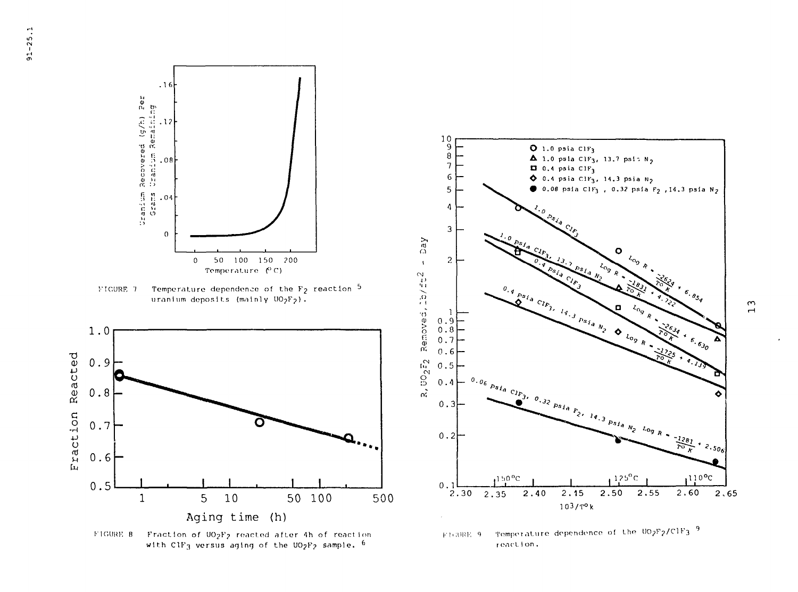

Temperature dependence of the  $F_2$  reaction  $^5$ FIGURE 7 uranium deposits (mainly UO2F2).



FIGURE 8 Fraction of UO2F2 reacted after 4h of reaction with ClF<sub>3</sub> versus aging of the UO<sub>2</sub>F<sub>2</sub> sample.  $6$ 



Temperature dependence of the UO2F2/ClF3 9 FIGURE 9 reaction.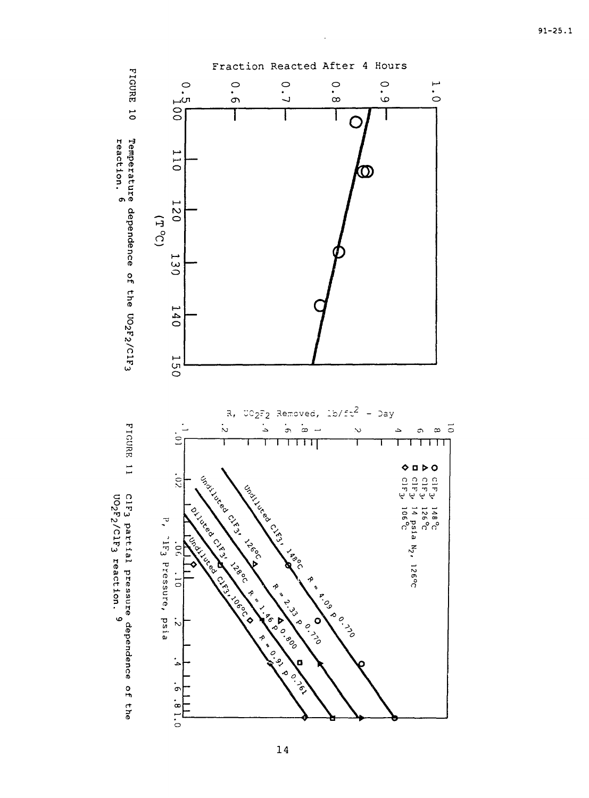

 $\ddot{\phantom{a}}$ 

UO<sub>2</sub>F<sub>2</sub>/ClF<sub>3</sub> reaction. 9

 $91 - 25.1$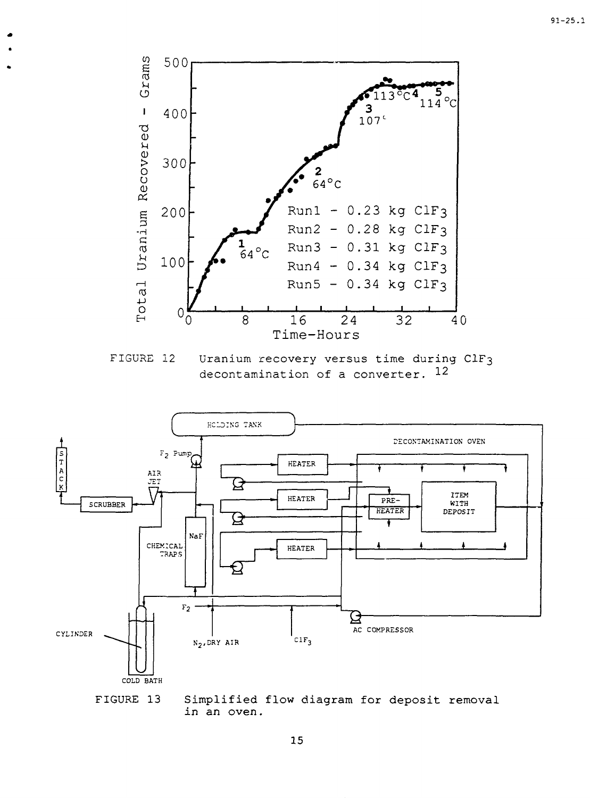

Uranium recovery versus time during ClF3 FIGURE 12 decontamination of a converter. 12



FIGURE 13

Simplified flow diagram for deposit removal in an oven.